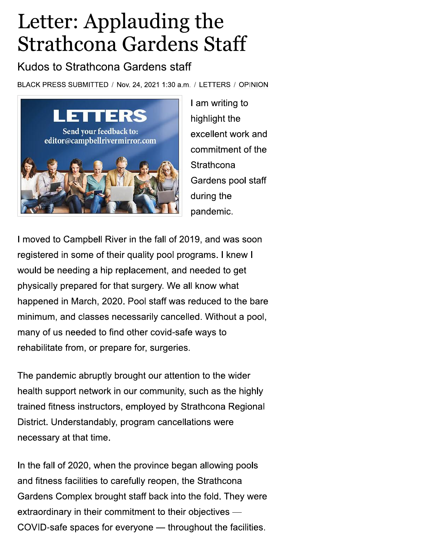## Letter: Applauding the **Strathcona Gardens Staff**

## Kudos to Strathcona Gardens staff

BLACK PRESS SUBMITTED / Nov. 24, 2021 1:30 a.m. / LETTERS / OPINION



I am writing to highlight the excellent work and commitment of the Strathcona Gardens pool staff during the pandemic.

I moved to Campbell River in the fall of 2019, and was soon registered in some of their quality pool programs. I knew I would be needing a hip replacement, and needed to get physically prepared for that surgery. We all know what happened in March, 2020. Pool staff was reduced to the bare minimum, and classes necessarily cancelled. Without a pool, many of us needed to find other covid-safe ways to rehabilitate from, or prepare for, surgeries.

The pandemic abruptly brought our attention to the wider health support network in our community, such as the highly trained fitness instructors, employed by Strathcona Regional District. Understandably, program cancellations were necessary at that time.

In the fall of 2020, when the province began allowing pools and fitness facilities to carefully reopen, the Strathcona Gardens Complex brought staff back into the fold. They were extraordinary in their commitment to their objectives -COVID-safe spaces for everyone - throughout the facilities.